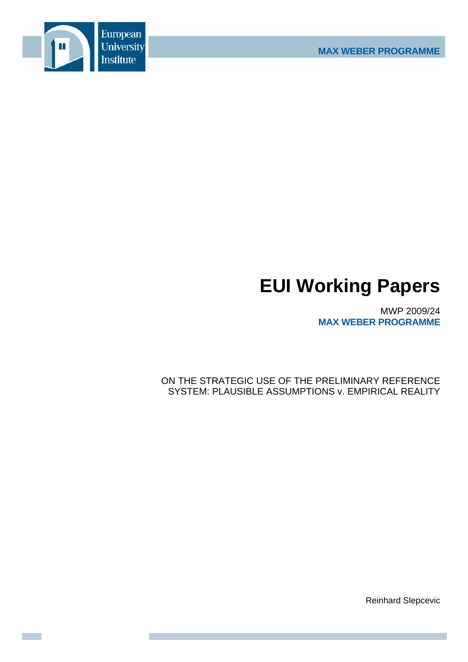

# **EUI Working Papers**

MWP 2009/24 **MAX WEBER PROGRAMME**

ON THE STRATEGIC USE OF THE PRELIMINARY REFERENCE SYSTEM: PLAUSIBLE ASSUMPTIONS v. EMPIRICAL REALITY

Reinhard Slepcevic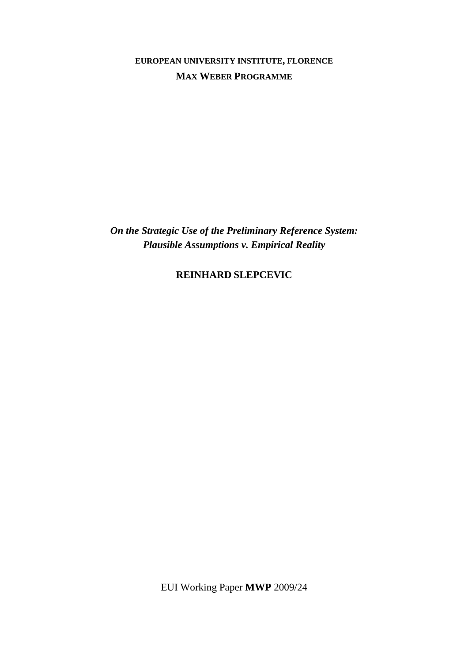**EUROPEAN UNIVERSITY INSTITUTE, FLORENCE MAX WEBER PROGRAMME**

*On the Strategic Use of the Preliminary Reference System: Plausible Assumptions v. Empirical Reality* 

**REINHARD SLEPCEVIC**

EUI Working Paper **MWP** 2009/24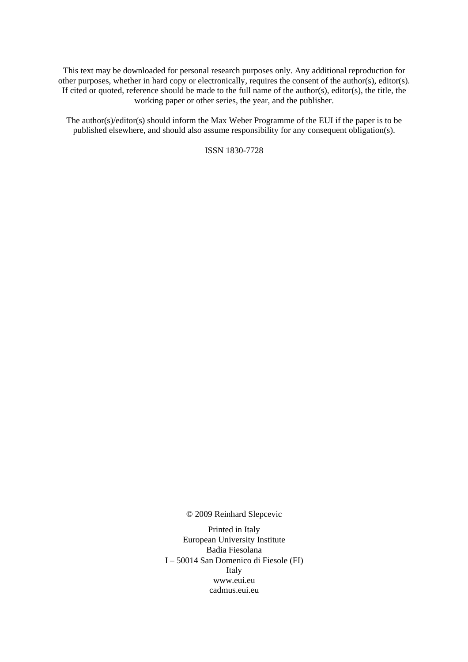This text may be downloaded for personal research purposes only. Any additional reproduction for other purposes, whether in hard copy or electronically, requires the consent of the author(s), editor(s). If cited or quoted, reference should be made to the full name of the author(s), editor(s), the title, the working paper or other series, the year, and the publisher.

The author(s)/editor(s) should inform the Max Weber Programme of the EUI if the paper is to be published elsewhere, and should also assume responsibility for any consequent obligation(s).

ISSN 1830-7728

© 2009 Reinhard Slepcevic

Printed in Italy European University Institute Badia Fiesolana I – 50014 San Domenico di Fiesole (FI) Italy [www.eui.eu](http://www.eui.eu/)  [cadmus.eui.eu](http://cadmus.eui.eu/dspace/index.jsp)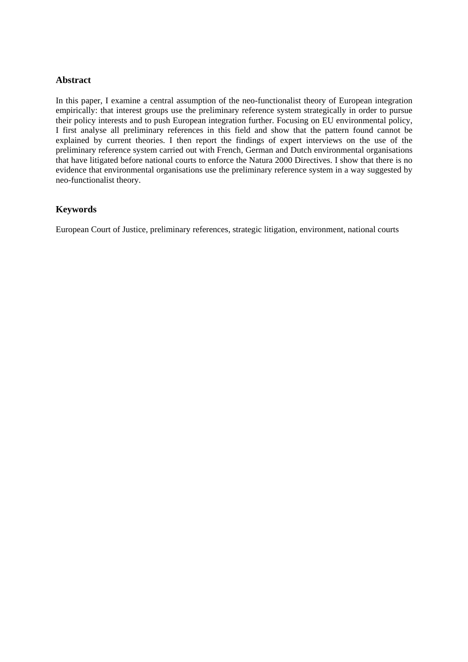## **Abstract**

In this paper, I examine a central assumption of the neo-functionalist theory of European integration empirically: that interest groups use the preliminary reference system strategically in order to pursue their policy interests and to push European integration further. Focusing on EU environmental policy, I first analyse all preliminary references in this field and show that the pattern found cannot be explained by current theories. I then report the findings of expert interviews on the use of the preliminary reference system carried out with French, German and Dutch environmental organisations that have litigated before national courts to enforce the Natura 2000 Directives. I show that there is no evidence that environmental organisations use the preliminary reference system in a way suggested by neo-functionalist theory.

## **Keywords**

European Court of Justice, preliminary references, strategic litigation, environment, national courts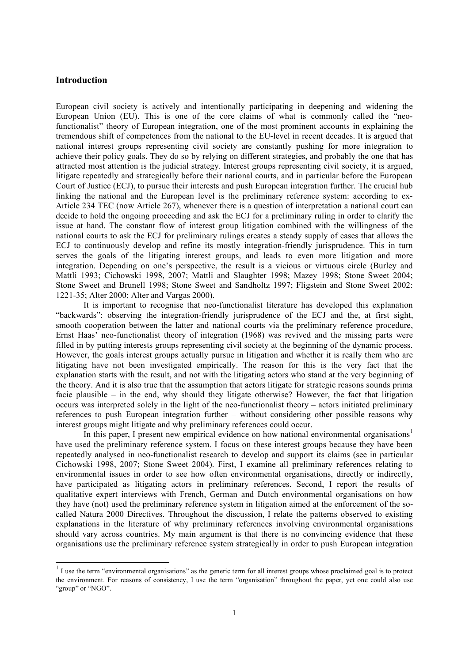## **Introduction**

European civil society is actively and intentionally participating in deepening and widening the European Union (EU). This is one of the core claims of what is commonly called the "neofunctionalist" theory of European integration, one of the most prominent accounts in explaining the tremendous shift of competences from the national to the EU-level in recent decades. It is argued that national interest groups representing civil society are constantly pushing for more integration to achieve their policy goals. They do so by relying on different strategies, and probably the one that has attracted most attention is the judicial strategy. Interest groups representing civil society, it is argued, litigate repeatedly and strategically before their national courts, and in particular before the European Court of Justice (ECJ), to pursue their interests and push European integration further. The crucial hub linking the national and the European level is the preliminary reference system: according to ex-Article 234 TEC (now Article 267), whenever there is a question of interpretation a national court can decide to hold the ongoing proceeding and ask the ECJ for a preliminary ruling in order to clarify the issue at hand. The constant flow of interest group litigation combined with the willingness of the national courts to ask the ECJ for preliminary rulings creates a steady supply of cases that allows the ECJ to continuously develop and refine its mostly integration-friendly jurisprudence. This in turn serves the goals of the litigating interest groups, and leads to even more litigation and more integration. Depending on one's perspective, the result is a vicious or virtuous circle (Burley and Mattli 1993; Cichowski 1998, 2007; Mattli and Slaughter 1998; Mazey 1998; Stone Sweet 2004; Stone Sweet and Brunell 1998; Stone Sweet and Sandholtz 1997; Fligstein and Stone Sweet 2002: 1221-35; Alter 2000; Alter and Vargas 2000).

It is important to recognise that neo-functionalist literature has developed this explanation "backwards": observing the integration-friendly jurisprudence of the ECJ and the, at first sight, smooth cooperation between the latter and national courts via the preliminary reference procedure, Ernst Haas' neo-functionalist theory of integration (1968) was revived and the missing parts were filled in by putting interests groups representing civil society at the beginning of the dynamic process. However, the goals interest groups actually pursue in litigation and whether it is really them who are litigating have not been investigated empirically. The reason for this is the very fact that the explanation starts with the result, and not with the litigating actors who stand at the very beginning of the theory. And it is also true that the assumption that actors litigate for strategic reasons sounds prima facie plausible – in the end, why should they litigate otherwise? However, the fact that litigation occurs was interpreted solely in the light of the neo-functionalist theory – actors initiated preliminary references to push European integration further – without considering other possible reasons why interest groups might litigate and why preliminary references could occur.

In this paper, I present new empirical evidence on how national environmental organisations<sup>1</sup> have used the preliminary reference system. I focus on these interest groups because they have been repeatedly analysed in neo-functionalist research to develop and support its claims (see in particular Cichowski 1998, 2007; Stone Sweet 2004). First, I examine all preliminary references relating to environmental issues in order to see how often environmental organisations, directly or indirectly, have participated as litigating actors in preliminary references. Second, I report the results of qualitative expert interviews with French, German and Dutch environmental organisations on how they have (not) used the preliminary reference system in litigation aimed at the enforcement of the socalled Natura 2000 Directives. Throughout the discussion, I relate the patterns observed to existing explanations in the literature of why preliminary references involving environmental organisations should vary across countries. My main argument is that there is no convincing evidence that these organisations use the preliminary reference system strategically in order to push European integration

 $\overline{1}$  I use the term "environmental organisations" as the generic term for all interest groups whose proclaimed goal is to protect the environment. For reasons of consistency, I use the term "organisation" throughout the paper, yet one could also use "group" or "NGO".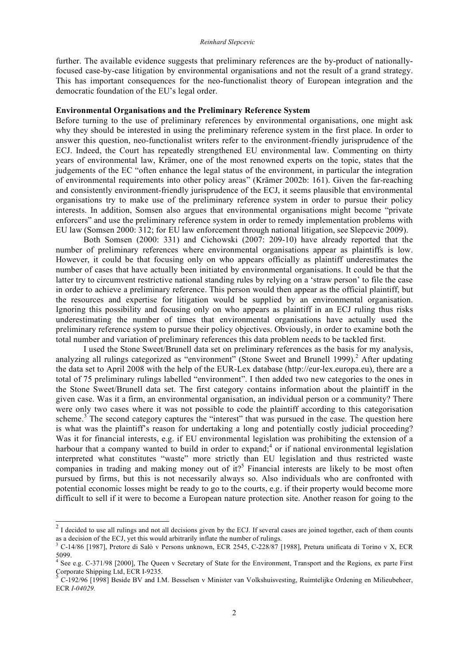further. The available evidence suggests that preliminary references are the by-product of nationallyfocused case-by-case litigation by environmental organisations and not the result of a grand strategy. This has important consequences for the neo-functionalist theory of European integration and the democratic foundation of the EU's legal order.

#### **Environmental Organisations and the Preliminary Reference System**

Before turning to the use of preliminary references by environmental organisations, one might ask why they should be interested in using the preliminary reference system in the first place. In order to answer this question, neo-functionalist writers refer to the environment-friendly jurisprudence of the ECJ. Indeed, the Court has repeatedly strengthened EU environmental law. Commenting on thirty years of environmental law, Krämer, one of the most renowned experts on the topic, states that the judgements of the EC "often enhance the legal status of the environment, in particular the integration of environmental requirements into other policy areas" (Krämer 2002b: 161). Given the far-reaching and consistently environment-friendly jurisprudence of the ECJ, it seems plausible that environmental organisations try to make use of the preliminary reference system in order to pursue their policy interests. In addition, Somsen also argues that environmental organisations might become "private enforcers" and use the preliminary reference system in order to remedy implementation problems with EU law (Somsen 2000: 312; for EU law enforcement through national litigation, see Slepcevic 2009).

Both Somsen (2000: 331) and Cichowski (2007: 209-10) have already reported that the number of preliminary references where environmental organisations appear as plaintiffs is low. However, it could be that focusing only on who appears officially as plaintiff underestimates the number of cases that have actually been initiated by environmental organisations. It could be that the latter try to circumvent restrictive national standing rules by relying on a 'straw person' to file the case in order to achieve a preliminary reference. This person would then appear as the official plaintiff, but the resources and expertise for litigation would be supplied by an environmental organisation. Ignoring this possibility and focusing only on who appears as plaintiff in an ECJ ruling thus risks underestimating the number of times that environmental organisations have actually used the preliminary reference system to pursue their policy objectives. Obviously, in order to examine both the total number and variation of preliminary references this data problem needs to be tackled first.

I used the Stone Sweet/Brunell data set on preliminary references as the basis for my analysis, analyzing all rulings categorized as "environment" (Stone Sweet and Brunell 1999).<sup>2</sup> After updating the data set to April 2008 with the help of the EUR-Lex database (http://eur-lex.europa.eu), there are a total of 75 preliminary rulings labelled "environment". I then added two new categories to the ones in the Stone Sweet/Brunell data set. The first category contains information about the plaintiff in the given case. Was it a firm, an environmental organisation, an individual person or a community? There were only two cases where it was not possible to code the plaintiff according to this categorisation scheme.<sup>3</sup> The second category captures the "interest" that was pursued in the case. The question here is what was the plaintiff's reason for undertaking a long and potentially costly judicial proceeding? Was it for financial interests, e.g. if EU environmental legislation was prohibiting the extension of a harbour that a company wanted to build in order to expand;<sup>4</sup> or if national environmental legislation interpreted what constitutes "waste" more strictly than EU legislation and thus restricted waste companies in trading and making money out of it?<sup>5</sup> Financial interests are likely to be most often pursued by firms, but this is not necessarily always so. Also individuals who are confronted with potential economic losses might be ready to go to the courts, e.g. if their property would become more difficult to sell if it were to become a European nature protection site. Another reason for going to the

 $2$  I decided to use all rulings and not all decisions given by the ECJ. If several cases are joined together, each of them counts as a decision of the ECJ, yet this would arbitrarily inflate the number of rulings.

<sup>3</sup> C-14/86 [1987], Pretore di Salò v Persons unknown, ECR 2545, C-228/87 [1988], Pretura unificata di Torino v X, ECR

<sup>&</sup>lt;sup>4</sup> See e.g. C-371/98 [2000], The Queen v Secretary of State for the Environment, Transport and the Regions, ex parte First Corporate Shipping Ltd, ECR I-9235.

C-192/96 [1998] Beside BV and I.M. Besselsen v Minister van Volkshuisvesting, Ruimtelijke Ordening en Milieubeheer, ECR *I-04029.*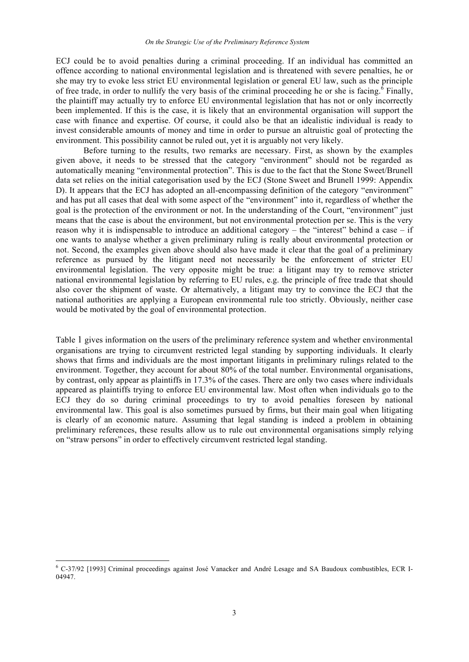ECJ could be to avoid penalties during a criminal proceeding. If an individual has committed an offence according to national environmental legislation and is threatened with severe penalties, he or she may try to evoke less strict EU environmental legislation or general EU law, such as the principle of free trade, in order to nullify the very basis of the criminal proceeding he or she is facing.<sup>6</sup> Finally, the plaintiff may actually try to enforce EU environmental legislation that has not or only incorrectly been implemented. If this is the case, it is likely that an environmental organisation will support the case with finance and expertise. Of course, it could also be that an idealistic individual is ready to invest considerable amounts of money and time in order to pursue an altruistic goal of protecting the environment. This possibility cannot be ruled out, yet it is arguably not very likely.

Before turning to the results, two remarks are necessary. First, as shown by the examples given above, it needs to be stressed that the category "environment" should not be regarded as automatically meaning "environmental protection". This is due to the fact that the Stone Sweet/Brunell data set relies on the initial categorisation used by the ECJ (Stone Sweet and Brunell 1999: Appendix D). It appears that the ECJ has adopted an all-encompassing definition of the category "environment" and has put all cases that deal with some aspect of the "environment" into it, regardless of whether the goal is the protection of the environment or not. In the understanding of the Court, "environment" just means that the case is about the environment, but not environmental protection per se. This is the very reason why it is indispensable to introduce an additional category – the "interest" behind a case – if one wants to analyse whether a given preliminary ruling is really about environmental protection or not. Second, the examples given above should also have made it clear that the goal of a preliminary reference as pursued by the litigant need not necessarily be the enforcement of stricter EU environmental legislation. The very opposite might be true: a litigant may try to remove stricter national environmental legislation by referring to EU rules, e.g. the principle of free trade that should also cover the shipment of waste. Or alternatively, a litigant may try to convince the ECJ that the national authorities are applying a European environmental rule too strictly. Obviously, neither case would be motivated by the goal of environmental protection.

Table 1 gives information on the users of the preliminary reference system and whether environmental organisations are trying to circumvent restricted legal standing by supporting individuals. It clearly shows that firms and individuals are the most important litigants in preliminary rulings related to the environment. Together, they account for about 80% of the total number. Environmental organisations, by contrast, only appear as plaintiffs in 17.3% of the cases. There are only two cases where individuals appeared as plaintiffs trying to enforce EU environmental law. Most often when individuals go to the ECJ they do so during criminal proceedings to try to avoid penalties foreseen by national environmental law. This goal is also sometimes pursued by firms, but their main goal when litigating is clearly of an economic nature. Assuming that legal standing is indeed a problem in obtaining preliminary references, these results allow us to rule out environmental organisations simply relying on "straw persons" in order to effectively circumvent restricted legal standing.

 <sup>6</sup> C-37/92 [1993] Criminal proceedings against José Vanacker and André Lesage and SA Baudoux combustibles, ECR I-04947.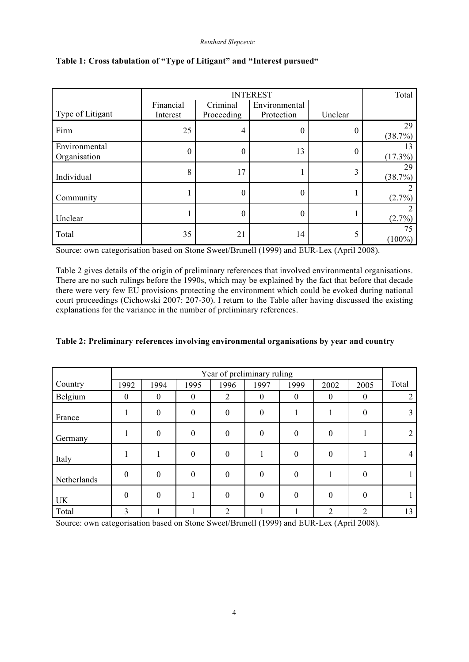|                               |           | Total      |               |         |                 |
|-------------------------------|-----------|------------|---------------|---------|-----------------|
|                               | Financial | Criminal   | Environmental |         |                 |
| Type of Litigant              | Interest  | Proceeding | Protection    | Unclear |                 |
| Firm                          | 25        | 4          | 0             | 0       | 29<br>(38.7%)   |
| Environmental<br>Organisation | 0         | 0          | 13            | 0       | 13<br>(17.3%)   |
| Individual                    | 8         | 17         |               | 3       | 29<br>(38.7%)   |
| Community                     |           | 0          | 0             |         | $(2.7\%)$       |
| Unclear                       |           | 0          | 0             |         | (2.7%)          |
| Total                         | 35        | 21         | 14            | 5       | 75<br>$(100\%)$ |

## **Table 1: Cross tabulation of "Type of Litigant" and "Interest pursued"**

Source: own categorisation based on Stone Sweet/Brunell (1999) and EUR-Lex (April 2008).

Table 2 gives details of the origin of preliminary references that involved environmental organisations. There are no such rulings before the 1990s, which may be explained by the fact that before that decade there were very few EU provisions protecting the environment which could be evoked during national court proceedings (Cichowski 2007: 207-30). I return to the Table after having discussed the existing explanations for the variance in the number of preliminary references.

|             | Year of preliminary ruling |          |          |                |          |                  |                |          |                |
|-------------|----------------------------|----------|----------|----------------|----------|------------------|----------------|----------|----------------|
| Country     | 1992                       | 1994     | 1995     | 1996           | 1997     | 1999             | 2002           | 2005     | Total          |
| Belgium     | $\theta$                   | $\theta$ | $\theta$ | $\overline{2}$ | $\theta$ | $\boldsymbol{0}$ | $\theta$       | $\theta$ | $\overline{2}$ |
| France      |                            | $\theta$ | $\theta$ | $\theta$       | $\theta$ |                  |                | $\theta$ | 3              |
| Germany     |                            | $\theta$ | $\theta$ | $\overline{0}$ | $\theta$ | $\theta$         | $\theta$       |          | $\overline{2}$ |
| Italy       |                            |          | $\theta$ | $\theta$       |          | $\theta$         | $\mathbf{0}$   |          | 4              |
| Netherlands | $\Omega$                   | $\theta$ | $\theta$ | $\theta$       | $\Omega$ | $\theta$         |                | 0        |                |
| <b>UK</b>   | $\theta$                   | $\Omega$ |          | $\theta$       | $\theta$ | $\theta$         | $\theta$       | $\theta$ |                |
| Total       | 3                          |          |          | $\overline{2}$ |          |                  | $\overline{2}$ | 2        | 13             |

|  |  | Table 2: Preliminary references involving environmental organisations by year and country |  |  |
|--|--|-------------------------------------------------------------------------------------------|--|--|
|  |  |                                                                                           |  |  |

Source: own categorisation based on Stone Sweet/Brunell (1999) and EUR-Lex (April 2008).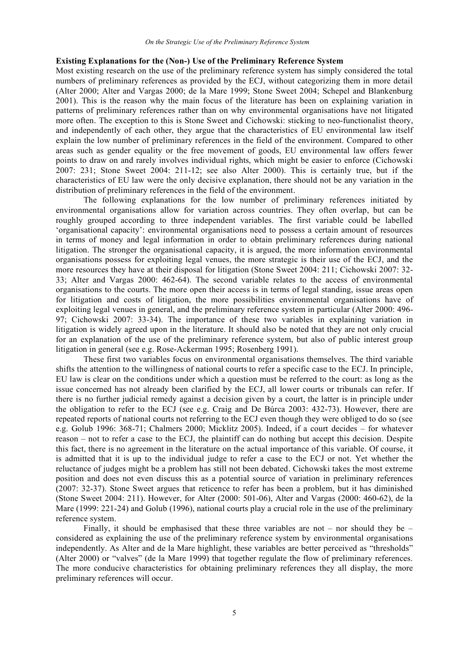## **Existing Explanations for the (Non-) Use of the Preliminary Reference System**

Most existing research on the use of the preliminary reference system has simply considered the total numbers of preliminary references as provided by the ECJ, without categorizing them in more detail (Alter 2000; Alter and Vargas 2000; de la Mare 1999; Stone Sweet 2004; Schepel and Blankenburg 2001). This is the reason why the main focus of the literature has been on explaining variation in patterns of preliminary references rather than on why environmental organisations have not litigated more often. The exception to this is Stone Sweet and Cichowski: sticking to neo-functionalist theory, and independently of each other, they argue that the characteristics of EU environmental law itself explain the low number of preliminary references in the field of the environment. Compared to other areas such as gender equality or the free movement of goods, EU environmental law offers fewer points to draw on and rarely involves individual rights, which might be easier to enforce (Cichowski 2007: 231; Stone Sweet 2004: 211-12; see also Alter 2000). This is certainly true, but if the characteristics of EU law were the only decisive explanation, there should not be any variation in the distribution of preliminary references in the field of the environment.

The following explanations for the low number of preliminary references initiated by environmental organisations allow for variation across countries. They often overlap, but can be roughly grouped according to three independent variables. The first variable could be labelled 'organisational capacity': environmental organisations need to possess a certain amount of resources in terms of money and legal information in order to obtain preliminary references during national litigation. The stronger the organisational capacity, it is argued, the more information environmental organisations possess for exploiting legal venues, the more strategic is their use of the ECJ, and the more resources they have at their disposal for litigation (Stone Sweet 2004: 211; Cichowski 2007: 32- 33; Alter and Vargas 2000: 462-64). The second variable relates to the access of environmental organisations to the courts. The more open their access is in terms of legal standing, issue areas open for litigation and costs of litigation, the more possibilities environmental organisations have of exploiting legal venues in general, and the preliminary reference system in particular (Alter 2000: 496- 97; Cichowski 2007: 33-34). The importance of these two variables in explaining variation in litigation is widely agreed upon in the literature. It should also be noted that they are not only crucial for an explanation of the use of the preliminary reference system, but also of public interest group litigation in general (see e.g. Rose-Ackerman 1995; Rosenberg 1991).

These first two variables focus on environmental organisations themselves. The third variable shifts the attention to the willingness of national courts to refer a specific case to the ECJ. In principle, EU law is clear on the conditions under which a question must be referred to the court: as long as the issue concerned has not already been clarified by the ECJ, all lower courts or tribunals can refer. If there is no further judicial remedy against a decision given by a court, the latter is in principle under the obligation to refer to the ECJ (see e.g. Craig and De Búrca 2003: 432-73). However, there are repeated reports of national courts not referring to the ECJ even though they were obliged to do so (see e.g. Golub 1996: 368-71; Chalmers 2000; Micklitz 2005). Indeed, if a court decides – for whatever reason – not to refer a case to the ECJ, the plaintiff can do nothing but accept this decision. Despite this fact, there is no agreement in the literature on the actual importance of this variable. Of course, it is admitted that it is up to the individual judge to refer a case to the ECJ or not. Yet whether the reluctance of judges might be a problem has still not been debated. Cichowski takes the most extreme position and does not even discuss this as a potential source of variation in preliminary references (2007: 32-37). Stone Sweet argues that reticence to refer has been a problem, but it has diminished (Stone Sweet 2004: 211). However, for Alter (2000: 501-06), Alter and Vargas (2000: 460-62), de la Mare (1999: 221-24) and Golub (1996), national courts play a crucial role in the use of the preliminary reference system.

Finally, it should be emphasised that these three variables are not – nor should they be – considered as explaining the use of the preliminary reference system by environmental organisations independently. As Alter and de la Mare highlight, these variables are better perceived as "thresholds" (Alter 2000) or "valves" (de la Mare 1999) that together regulate the flow of preliminary references. The more conducive characteristics for obtaining preliminary references they all display, the more preliminary references will occur.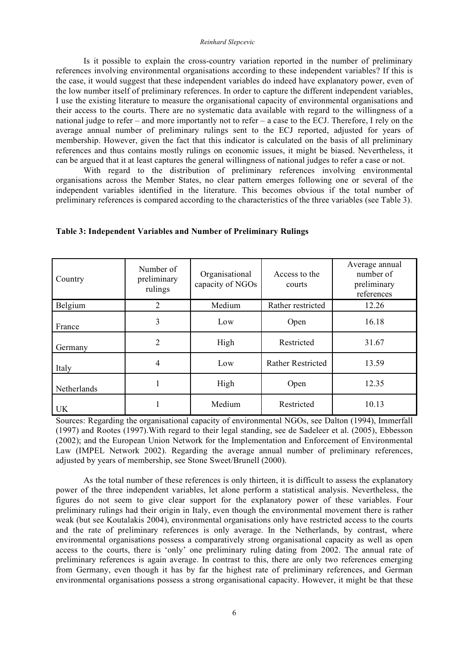Is it possible to explain the cross-country variation reported in the number of preliminary references involving environmental organisations according to these independent variables? If this is the case, it would suggest that these independent variables do indeed have explanatory power, even of the low number itself of preliminary references. In order to capture the different independent variables, I use the existing literature to measure the organisational capacity of environmental organisations and their access to the courts. There are no systematic data available with regard to the willingness of a national judge to refer – and more importantly not to refer – a case to the ECJ. Therefore, I rely on the average annual number of preliminary rulings sent to the ECJ reported, adjusted for years of membership. However, given the fact that this indicator is calculated on the basis of all preliminary references and thus contains mostly rulings on economic issues, it might be biased. Nevertheless, it can be argued that it at least captures the general willingness of national judges to refer a case or not.

With regard to the distribution of preliminary references involving environmental organisations across the Member States, no clear pattern emerges following one or several of the independent variables identified in the literature. This becomes obvious if the total number of preliminary references is compared according to the characteristics of the three variables (see Table 3).

| Country     | Number of<br>preliminary<br>rulings | Organisational<br>capacity of NGOs | Access to the<br>courts  | Average annual<br>number of<br>preliminary<br>references |  |
|-------------|-------------------------------------|------------------------------------|--------------------------|----------------------------------------------------------|--|
| Belgium     | 2                                   | Medium                             | Rather restricted        | 12.26                                                    |  |
| France      | 3                                   | Low                                | Open                     | 16.18                                                    |  |
| Germany     | $\overline{2}$                      | High                               | Restricted               | 31.67                                                    |  |
| Italy       | 4                                   | Low                                | <b>Rather Restricted</b> | 13.59                                                    |  |
| Netherlands |                                     | High                               | Open                     | 12.35                                                    |  |
| UK          |                                     | Medium                             | Restricted               | 10.13                                                    |  |

**Table 3: Independent Variables and Number of Preliminary Rulings**

Sources: Regarding the organisational capacity of environmental NGOs, see Dalton (1994), Immerfall (1997) and Rootes (1997).With regard to their legal standing, see de Sadeleer et al. (2005), Ebbesson (2002); and the European Union Network for the Implementation and Enforcement of Environmental Law (IMPEL Network 2002). Regarding the average annual number of preliminary references, adjusted by years of membership, see Stone Sweet/Brunell (2000).

As the total number of these references is only thirteen, it is difficult to assess the explanatory power of the three independent variables, let alone perform a statistical analysis. Nevertheless, the figures do not seem to give clear support for the explanatory power of these variables. Four preliminary rulings had their origin in Italy, even though the environmental movement there is rather weak (but see Koutalakis 2004), environmental organisations only have restricted access to the courts and the rate of preliminary references is only average. In the Netherlands, by contrast, where environmental organisations possess a comparatively strong organisational capacity as well as open access to the courts, there is 'only' one preliminary ruling dating from 2002. The annual rate of preliminary references is again average. In contrast to this, there are only two references emerging from Germany, even though it has by far the highest rate of preliminary references, and German environmental organisations possess a strong organisational capacity. However, it might be that these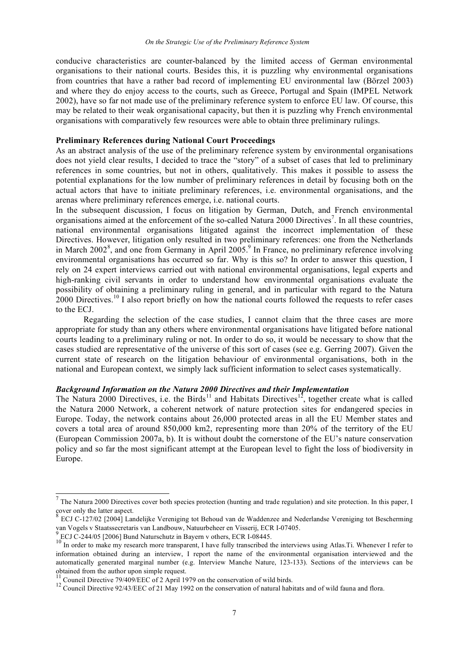conducive characteristics are counter-balanced by the limited access of German environmental organisations to their national courts. Besides this, it is puzzling why environmental organisations from countries that have a rather bad record of implementing EU environmental law (Börzel 2003) and where they do enjoy access to the courts, such as Greece, Portugal and Spain (IMPEL Network 2002), have so far not made use of the preliminary reference system to enforce EU law. Of course, this may be related to their weak organisational capacity, but then it is puzzling why French environmental organisations with comparatively few resources were able to obtain three preliminary rulings.

#### **Preliminary References during National Court Proceedings**

As an abstract analysis of the use of the preliminary reference system by environmental organisations does not yield clear results, I decided to trace the "story" of a subset of cases that led to preliminary references in some countries, but not in others, qualitatively. This makes it possible to assess the potential explanations for the low number of preliminary references in detail by focusing both on the actual actors that have to initiate preliminary references, i.e. environmental organisations, and the arenas where preliminary references emerge, i.e. national courts.

In the subsequent discussion, I focus on litigation by German, Dutch, and French environmental organisations aimed at the enforcement of the so-called Natura 2000 Directives<sup>7</sup>. In all these countries, national environmental organisations litigated against the incorrect implementation of these Directives. However, litigation only resulted in two preliminary references: one from the Netherlands in March 2002<sup>8</sup>, and one from Germany in April 2005.<sup>9</sup> In France, no preliminary reference involving environmental organisations has occurred so far. Why is this so? In order to answer this question, I rely on 24 expert interviews carried out with national environmental organisations, legal experts and high-ranking civil servants in order to understand how environmental organisations evaluate the possibility of obtaining a preliminary ruling in general, and in particular with regard to the Natura  $2000$  Directives.<sup>10</sup> I also report briefly on how the national courts followed the requests to refer cases to the ECJ.

Regarding the selection of the case studies, I cannot claim that the three cases are more appropriate for study than any others where environmental organisations have litigated before national courts leading to a preliminary ruling or not. In order to do so, it would be necessary to show that the cases studied are representative of the universe of this sort of cases (see e.g. Gerring 2007). Given the current state of research on the litigation behaviour of environmental organisations, both in the national and European context, we simply lack sufficient information to select cases systematically.

## *Background Information on the Natura 2000 Directives and their Implementation*

The Natura 2000 Directives, i.e. the Birds<sup>11</sup> and Habitats Directives<sup>12</sup>, together create what is called the Natura 2000 Network, a coherent network of nature protection sites for endangered species in Europe. Today, the network contains about 26,000 protected areas in all the EU Member states and covers a total area of around 850,000 km2, representing more than 20% of the territory of the EU (European Commission 2007a, b). It is without doubt the cornerstone of the EU's nature conservation policy and so far the most significant attempt at the European level to fight the loss of biodiversity in Europe.

 $^7$  The Natura 2000 Directives cover both species protection (hunting and trade regulation) and site protection. In this paper, I cover only the latter aspect.

ECJ C-127/02 [2004] Landelijke Vereniging tot Behoud van de Waddenzee and Nederlandse Vereniging tot Bescherming

van Vogels v Staatssecretaris van Landbouw, Natuurbeheer en Visserij, ECR I-07405.<br>
<sup>9</sup> ECJ C-244/05 [2006] Bund Naturschutz in Bayern v others, ECR I-08445.<br>
<sup>10</sup> In order to make my research more transparent, I have ful information obtained during an interview, I report the name of the environmental organisation interviewed and the automatically generated marginal number (e.g. Interview Manche Nature, 123-133). Sections of the interviews can be

<sup>&</sup>lt;sup>11</sup> Council Directive 79/409/EEC of 2 April 1979 on the conservation of wild birds.<br><sup>12</sup> Council Directive 92/43/EEC of 21 May 1992 on the conservation of natural habitats and of wild fauna and flora.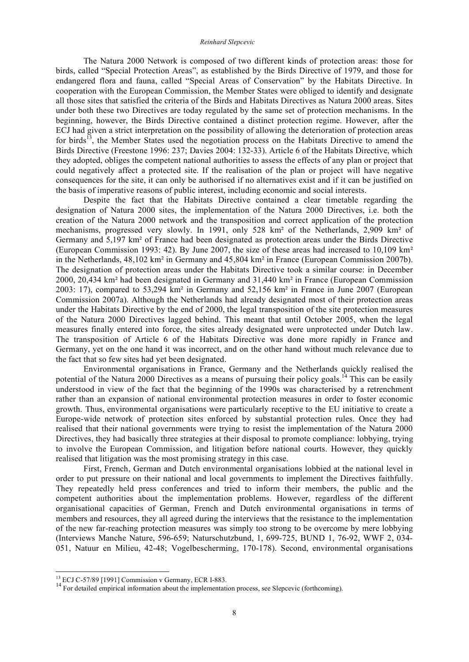The Natura 2000 Network is composed of two different kinds of protection areas: those for birds, called "Special Protection Areas", as established by the Birds Directive of 1979, and those for endangered flora and fauna, called "Special Areas of Conservation" by the Habitats Directive. In cooperation with the European Commission, the Member States were obliged to identify and designate all those sites that satisfied the criteria of the Birds and Habitats Directives as Natura 2000 areas. Sites under both these two Directives are today regulated by the same set of protection mechanisms. In the beginning, however, the Birds Directive contained a distinct protection regime. However, after the ECJ had given a strict interpretation on the possibility of allowing the deterioration of protection areas for birds<sup>13</sup>, the Member States used the negotiation process on the Habitats Directive to amend the Birds Directive (Freestone 1996: 237; Davies 2004: 132-33). Article 6 of the Habitats Directive, which they adopted, obliges the competent national authorities to assess the effects of any plan or project that could negatively affect a protected site. If the realisation of the plan or project will have negative consequences for the site, it can only be authorised if no alternatives exist and if it can be justified on the basis of imperative reasons of public interest, including economic and social interests.

Despite the fact that the Habitats Directive contained a clear timetable regarding the designation of Natura 2000 sites, the implementation of the Natura 2000 Directives, i.e. both the creation of the Natura 2000 network and the transposition and correct application of the protection mechanisms, progressed very slowly. In 1991, only 528 km² of the Netherlands, 2,909 km² of Germany and 5,197 km² of France had been designated as protection areas under the Birds Directive (European Commission 1993: 42). By June 2007, the size of these areas had increased to 10,109 km² in the Netherlands, 48,102 km² in Germany and 45,804 km² in France (European Commission 2007b). The designation of protection areas under the Habitats Directive took a similar course: in December 2000, 20,434 km² had been designated in Germany and 31,440 km² in France (European Commission 2003: 17), compared to 53,294 km² in Germany and 52,156 km² in France in June 2007 (European Commission 2007a). Although the Netherlands had already designated most of their protection areas under the Habitats Directive by the end of 2000, the legal transposition of the site protection measures of the Natura 2000 Directives lagged behind. This meant that until October 2005, when the legal measures finally entered into force, the sites already designated were unprotected under Dutch law. The transposition of Article 6 of the Habitats Directive was done more rapidly in France and Germany, yet on the one hand it was incorrect, and on the other hand without much relevance due to the fact that so few sites had yet been designated.

Environmental organisations in France, Germany and the Netherlands quickly realised the potential of the Natura 2000 Directives as a means of pursuing their policy goals.<sup>14</sup> This can be easily understood in view of the fact that the beginning of the 1990s was characterised by a retrenchment rather than an expansion of national environmental protection measures in order to foster economic growth. Thus, environmental organisations were particularly receptive to the EU initiative to create a Europe-wide network of protection sites enforced by substantial protection rules. Once they had realised that their national governments were trying to resist the implementation of the Natura 2000 Directives, they had basically three strategies at their disposal to promote compliance: lobbying, trying to involve the European Commission, and litigation before national courts. However, they quickly realised that litigation was the most promising strategy in this case.

First, French, German and Dutch environmental organisations lobbied at the national level in order to put pressure on their national and local governments to implement the Directives faithfully. They repeatedly held press conferences and tried to inform their members, the public and the competent authorities about the implementation problems. However, regardless of the different organisational capacities of German, French and Dutch environmental organisations in terms of members and resources, they all agreed during the interviews that the resistance to the implementation of the new far-reaching protection measures was simply too strong to be overcome by mere lobbying (Interviews Manche Nature, 596-659; Naturschutzbund, 1, 699-725, BUND 1, 76-92, WWF 2, 034- 051, Natuur en Milieu, 42-48; Vogelbescherming, 170-178). Second, environmental organisations

<sup>&</sup>lt;sup>13</sup> ECJ C-57/89 [1991] Commission v Germany, ECR I-883.<br><sup>14</sup> For detailed empirical information about the implementation process, see Slepcevic (forthcoming).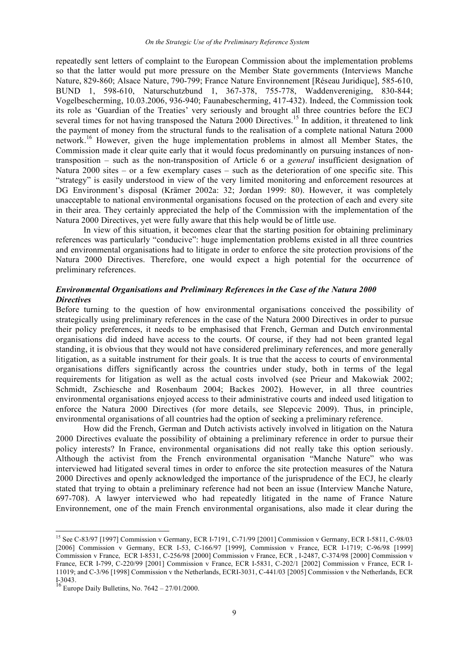repeatedly sent letters of complaint to the European Commission about the implementation problems so that the latter would put more pressure on the Member State governments (Interviews Manche Nature, 829-860; Alsace Nature, 790-799; France Nature Environnement [Réseau Juridique], 585-610, BUND 1, 598-610, Naturschutzbund 1, 367-378, 755-778, Waddenvereniging, 830-844; Vogelbescherming, 10.03.2006, 936-940; Faunabescherming, 417-432). Indeed, the Commission took its role as 'Guardian of the Treaties' very seriously and brought all three countries before the ECJ several times for not having transposed the Natura 2000 Directives.<sup>15</sup> In addition, it threatened to link the payment of money from the structural funds to the realisation of a complete national Natura 2000 network. <sup>16</sup> However, given the huge implementation problems in almost all Member States, the Commission made it clear quite early that it would focus predominantly on pursuing instances of nontransposition – such as the non-transposition of Article 6 or a *general* insufficient designation of Natura 2000 sites – or a few exemplary cases – such as the deterioration of one specific site. This "strategy" is easily understood in view of the very limited monitoring and enforcement resources at DG Environment's disposal (Krämer 2002a: 32; Jordan 1999: 80). However, it was completely unacceptable to national environmental organisations focused on the protection of each and every site in their area. They certainly appreciated the help of the Commission with the implementation of the Natura 2000 Directives, yet were fully aware that this help would be of little use.

In view of this situation, it becomes clear that the starting position for obtaining preliminary references was particularly "conducive": huge implementation problems existed in all three countries and environmental organisations had to litigate in order to enforce the site protection provisions of the Natura 2000 Directives. Therefore, one would expect a high potential for the occurrence of preliminary references.

## *Environmental Organisations and Preliminary References in the Case of the Natura 2000 Directives*

Before turning to the question of how environmental organisations conceived the possibility of strategically using preliminary references in the case of the Natura 2000 Directives in order to pursue their policy preferences, it needs to be emphasised that French, German and Dutch environmental organisations did indeed have access to the courts. Of course, if they had not been granted legal standing, it is obvious that they would not have considered preliminary references, and more generally litigation, as a suitable instrument for their goals. It is true that the access to courts of environmental organisations differs significantly across the countries under study, both in terms of the legal requirements for litigation as well as the actual costs involved (see Prieur and Makowiak 2002; Schmidt, Zschiesche and Rosenbaum 2004; Backes 2002). However, in all three countries environmental organisations enjoyed access to their administrative courts and indeed used litigation to enforce the Natura 2000 Directives (for more details, see Slepcevic 2009). Thus, in principle, environmental organisations of all countries had the option of seeking a preliminary reference.

How did the French, German and Dutch activists actively involved in litigation on the Natura 2000 Directives evaluate the possibility of obtaining a preliminary reference in order to pursue their policy interests? In France, environmental organisations did not really take this option seriously. Although the activist from the French environmental organisation "Manche Nature" who was interviewed had litigated several times in order to enforce the site protection measures of the Natura 2000 Directives and openly acknowledged the importance of the jurisprudence of the ECJ, he clearly stated that trying to obtain a preliminary reference had not been an issue (Interview Manche Nature, 697-708). A lawyer interviewed who had repeatedly litigated in the name of France Nature Environnement, one of the main French environmental organisations, also made it clear during the

 <sup>15</sup> See C-83/97 [1997] Commission <sup>v</sup> Germany, ECR I-7191, C-71/99 [2001] Commission <sup>v</sup> Germany, ECR I-5811, C-98/03 [2006] Commission v Germany, ECR I-53, C-166/97 [1999], Commission v France, ECR I-1719; C-96/98 [1999] Commission v France, ECR I-8531, C-256/98 [2000] Commission v France, ECR , I-2487, C-374/98 [2000] Commission v France, ECR I-799, C-220/99 [2001] Commission v France, ECR I-5831, C-202/1 [2002] Commission v France, ECR I-11019; and C-3/96 [1998] Commission v the Netherlands, ECRI-3031, C-441/03 [2005] Commission v the Netherlands, ECR I-3043. <sup>16</sup> Europe Daily Bulletins, No. <sup>7642</sup> – 27/01/2000.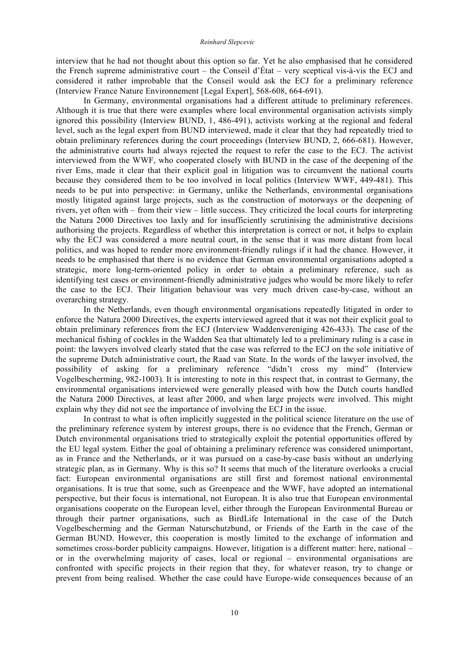interview that he had not thought about this option so far. Yet he also emphasised that he considered the French supreme administrative court – the Conseil d'État – very sceptical vis-à-vis the ECJ and considered it rather improbable that the Conseil would ask the ECJ for a preliminary reference (Interview France Nature Environnement [Legal Expert], 568-608, 664-691).

In Germany, environmental organisations had a different attitude to preliminary references. Although it is true that there were examples where local environmental organisation activists simply ignored this possibility (Interview BUND, 1, 486-491), activists working at the regional and federal level, such as the legal expert from BUND interviewed, made it clear that they had repeatedly tried to obtain preliminary references during the court proceedings (Interview BUND, 2, 666-681). However, the administrative courts had always rejected the request to refer the case to the ECJ. The activist interviewed from the WWF, who cooperated closely with BUND in the case of the deepening of the river Ems, made it clear that their explicit goal in litigation was to circumvent the national courts because they considered them to be too involved in local politics (Interview WWF, 449-481). This needs to be put into perspective: in Germany, unlike the Netherlands, environmental organisations mostly litigated against large projects, such as the construction of motorways or the deepening of rivers, yet often with – from their view – little success. They criticized the local courts for interpreting the Natura 2000 Directives too laxly and for insufficiently scrutinising the administrative decisions authorising the projects. Regardless of whether this interpretation is correct or not, it helps to explain why the ECJ was considered a more neutral court, in the sense that it was more distant from local politics, and was hoped to render more environment-friendly rulings if it had the chance. However, it needs to be emphasised that there is no evidence that German environmental organisations adopted a strategic, more long-term-oriented policy in order to obtain a preliminary reference, such as identifying test cases or environment-friendly administrative judges who would be more likely to refer the case to the ECJ. Their litigation behaviour was very much driven case-by-case, without an overarching strategy.

In the Netherlands, even though environmental organisations repeatedly litigated in order to enforce the Natura 2000 Directives, the experts interviewed agreed that it was not their explicit goal to obtain preliminary references from the ECJ (Interview Waddenvereniging 426-433). The case of the mechanical fishing of cockles in the Wadden Sea that ultimately led to a preliminary ruling is a case in point: the lawyers involved clearly stated that the case was referred to the ECJ on the sole initiative of the supreme Dutch administrative court, the Raad van State. In the words of the lawyer involved, the possibility of asking for a preliminary reference "didn't cross my mind" (Interview Vogelbescherming, 982-1003). It is interesting to note in this respect that, in contrast to Germany, the environmental organisations interviewed were generally pleased with how the Dutch courts handled the Natura 2000 Directives, at least after 2000, and when large projects were involved. This might explain why they did not see the importance of involving the ECJ in the issue.

In contrast to what is often implicitly suggested in the political science literature on the use of the preliminary reference system by interest groups, there is no evidence that the French, German or Dutch environmental organisations tried to strategically exploit the potential opportunities offered by the EU legal system. Either the goal of obtaining a preliminary reference was considered unimportant, as in France and the Netherlands, or it was pursued on a case-by-case basis without an underlying strategic plan, as in Germany. Why is this so? It seems that much of the literature overlooks a crucial fact: European environmental organisations are still first and foremost national environmental organisations. It is true that some, such as Greenpeace and the WWF, have adopted an international perspective, but their focus is international, not European. It is also true that European environmental organisations cooperate on the European level, either through the European Environmental Bureau or through their partner organisations, such as BirdLife International in the case of the Dutch Vogelbescherming and the German Naturschutzbund, or Friends of the Earth in the case of the German BUND. However, this cooperation is mostly limited to the exchange of information and sometimes cross-border publicity campaigns. However, litigation is a different matter: here, national – or in the overwhelming majority of cases, local or regional – environmental organisations are confronted with specific projects in their region that they, for whatever reason, try to change or prevent from being realised. Whether the case could have Europe-wide consequences because of an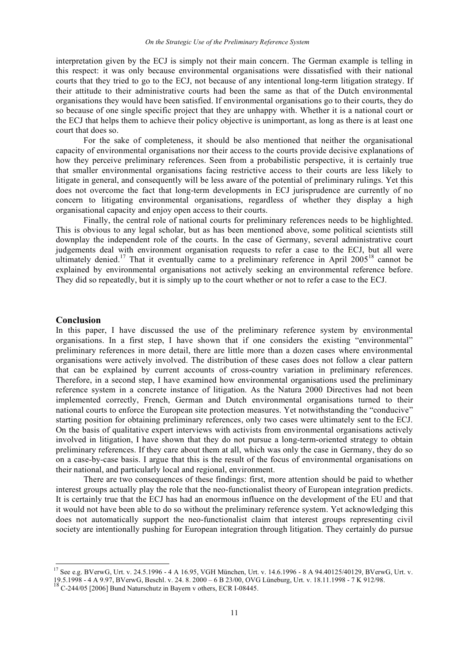interpretation given by the ECJ is simply not their main concern. The German example is telling in this respect: it was only because environmental organisations were dissatisfied with their national courts that they tried to go to the ECJ, not because of any intentional long-term litigation strategy. If their attitude to their administrative courts had been the same as that of the Dutch environmental organisations they would have been satisfied. If environmental organisations go to their courts, they do so because of one single specific project that they are unhappy with. Whether it is a national court or the ECJ that helps them to achieve their policy objective is unimportant, as long as there is at least one court that does so.

For the sake of completeness, it should be also mentioned that neither the organisational capacity of environmental organisations nor their access to the courts provide decisive explanations of how they perceive preliminary references. Seen from a probabilistic perspective, it is certainly true that smaller environmental organisations facing restrictive access to their courts are less likely to litigate in general, and consequently will be less aware of the potential of preliminary rulings. Yet this does not overcome the fact that long-term developments in ECJ jurisprudence are currently of no concern to litigating environmental organisations, regardless of whether they display a high organisational capacity and enjoy open access to their courts.

Finally, the central role of national courts for preliminary references needs to be highlighted. This is obvious to any legal scholar, but as has been mentioned above, some political scientists still downplay the independent role of the courts. In the case of Germany, several administrative court judgements deal with environment organisation requests to refer a case to the ECJ, but all were ultimately denied.<sup>17</sup> That it eventually came to a preliminary reference in April 2005<sup>18</sup> cannot be explained by environmental organisations not actively seeking an environmental reference before. They did so repeatedly, but it is simply up to the court whether or not to refer a case to the ECJ.

#### **Conclusion**

In this paper, I have discussed the use of the preliminary reference system by environmental organisations. In a first step, I have shown that if one considers the existing "environmental" preliminary references in more detail, there are little more than a dozen cases where environmental organisations were actively involved. The distribution of these cases does not follow a clear pattern that can be explained by current accounts of cross-country variation in preliminary references. Therefore, in a second step, I have examined how environmental organisations used the preliminary reference system in a concrete instance of litigation. As the Natura 2000 Directives had not been implemented correctly, French, German and Dutch environmental organisations turned to their national courts to enforce the European site protection measures. Yet notwithstanding the "conducive" starting position for obtaining preliminary references, only two cases were ultimately sent to the ECJ. On the basis of qualitative expert interviews with activists from environmental organisations actively involved in litigation, I have shown that they do not pursue a long-term-oriented strategy to obtain preliminary references. If they care about them at all, which was only the case in Germany, they do so on a case-by-case basis. I argue that this is the result of the focus of environmental organisations on their national, and particularly local and regional, environment.

There are two consequences of these findings: first, more attention should be paid to whether interest groups actually play the role that the neo-functionalist theory of European integration predicts. It is certainly true that the ECJ has had an enormous influence on the development of the EU and that it would not have been able to do so without the preliminary reference system. Yet acknowledging this does not automatically support the neo-functionalist claim that interest groups representing civil society are intentionally pushing for European integration through litigation. They certainly do pursue

 <sup>17</sup> See e.g. BVerwG, Urt. v. 24.5.1996 - <sup>4</sup> <sup>A</sup> 16.95, VGH München, Urt. v. 14.6.1996 - <sup>8</sup> <sup>A</sup> 94.40125/40129, BVerwG, Urt. v. 19.5.1998 - 4 A 9.97, BVerwG, Beschl. v. 24. 8. 2000 – 6 B 23/00, OVG Lüneburg, Urt. v. 18.11.1998 - 7 K 912/98.<br><sup>18</sup> C-244/05 [2006] Bund Naturschutz in Bayern v others, ECR I-08445.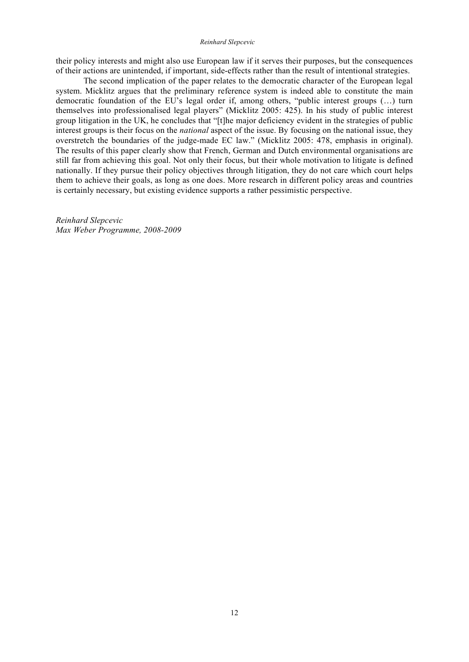their policy interests and might also use European law if it serves their purposes, but the consequences of their actions are unintended, if important, side-effects rather than the result of intentional strategies.

The second implication of the paper relates to the democratic character of the European legal system. Micklitz argues that the preliminary reference system is indeed able to constitute the main democratic foundation of the EU's legal order if, among others, "public interest groups (…) turn themselves into professionalised legal players" (Micklitz 2005: 425). In his study of public interest group litigation in the UK, he concludes that "[t]he major deficiency evident in the strategies of public interest groups is their focus on the *national* aspect of the issue. By focusing on the national issue, they overstretch the boundaries of the judge-made EC law." (Micklitz 2005: 478, emphasis in original). The results of this paper clearly show that French, German and Dutch environmental organisations are still far from achieving this goal. Not only their focus, but their whole motivation to litigate is defined nationally. If they pursue their policy objectives through litigation, they do not care which court helps them to achieve their goals, as long as one does. More research in different policy areas and countries is certainly necessary, but existing evidence supports a rather pessimistic perspective.

*Reinhard Slepcevic Max Weber Programme, 2008-2009*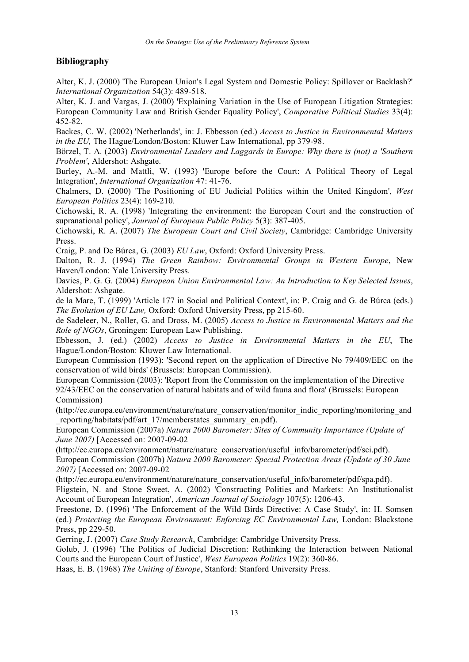## **Bibliography**

Alter, K. J. (2000) 'The European Union's Legal System and Domestic Policy: Spillover or Backlash?' *International Organization* 54(3): 489-518.

Alter, K. J. and Vargas, J. (2000) 'Explaining Variation in the Use of European Litigation Strategies: European Community Law and British Gender Equality Policy', *Comparative Political Studies* 33(4): 452-82.

Backes, C. W. (2002) 'Netherlands', in: J. Ebbesson (ed.) *Access to Justice in Environmental Matters in the EU,* The Hague/London/Boston: Kluwer Law International, pp 379-98.

Börzel, T. A. (2003) *Environmental Leaders and Laggards in Europe: Why there is (not) a 'Southern Problem'*, Aldershot: Ashgate.

Burley, A.-M. and Mattli, W. (1993) 'Europe before the Court: A Political Theory of Legal Integration', *International Organization* 47: 41-76.

Chalmers, D. (2000) 'The Positioning of EU Judicial Politics within the United Kingdom', *West European Politics* 23(4): 169-210.

Cichowski, R. A. (1998) 'Integrating the environment: the European Court and the construction of supranational policy', *Journal of European Public Policy* 5(3): 387-405.

Cichowski, R. A. (2007) *The European Court and Civil Society*, Cambridge: Cambridge University Press.

Craig, P. and De Búrca, G. (2003) *EU Law*, Oxford: Oxford University Press.

Dalton, R. J. (1994) *The Green Rainbow: Environmental Groups in Western Europe*, New Haven/London: Yale University Press.

Davies, P. G. G. (2004) *European Union Environmental Law: An Introduction to Key Selected Issues*, Aldershot: Ashgate.

de la Mare, T. (1999) 'Article 177 in Social and Political Context', in: P. Craig and G. de Búrca (eds.) *The Evolution of EU Law,* Oxford: Oxford University Press, pp 215-60.

de Sadeleer, N., Roller, G. and Dross, M. (2005) *Access to Justice in Environmental Matters and the Role of NGOs*, Groningen: European Law Publishing.

Ebbesson, J. (ed.) (2002) *Access to Justice in Environmental Matters in the EU*, The Hague/London/Boston: Kluwer Law International.

European Commission (1993): 'Second report on the application of Directive No 79/409/EEC on the conservation of wild birds' (Brussels: European Commission).

European Commission (2003): 'Report from the Commission on the implementation of the Directive 92/43/EEC on the conservation of natural habitats and of wild fauna and flora' (Brussels: European Commission)

(http://ec.europa.eu/environment/nature/nature\_conservation/monitor\_indic\_reporting/monitoring\_and reporting/habitats/pdf/art\_17/memberstates\_summary\_en.pdf).

European Commission (2007a) *Natura 2000 Barometer: Sites of Community Importance (Update of June 2007)* [Accessed on: 2007-09-02

(http://ec.europa.eu/environment/nature/nature\_conservation/useful\_info/barometer/pdf/sci.pdf).

European Commission (2007b) *Natura 2000 Barometer: Special Protection Areas (Update of 30 June 2007)* [Accessed on: 2007-09-02

(http://ec.europa.eu/environment/nature/nature\_conservation/useful\_info/barometer/pdf/spa.pdf).

Fligstein, N. and Stone Sweet, A. (2002) 'Constructing Polities and Markets: An Institutionalist Account of European Integration', *American Journal of Sociology* 107(5): 1206-43.

Freestone, D. (1996) 'The Enforcement of the Wild Birds Directive: A Case Study', in: H. Somsen (ed.) *Protecting the European Environment: Enforcing EC Environmental Law,* London: Blackstone Press, pp 229-50.

Gerring, J. (2007) *Case Study Research*, Cambridge: Cambridge University Press.

Golub, J. (1996) 'The Politics of Judicial Discretion: Rethinking the Interaction between National Courts and the European Court of Justice', *West European Politics* 19(2): 360-86.

Haas, E. B. (1968) *The Uniting of Europe*, Stanford: Stanford University Press.